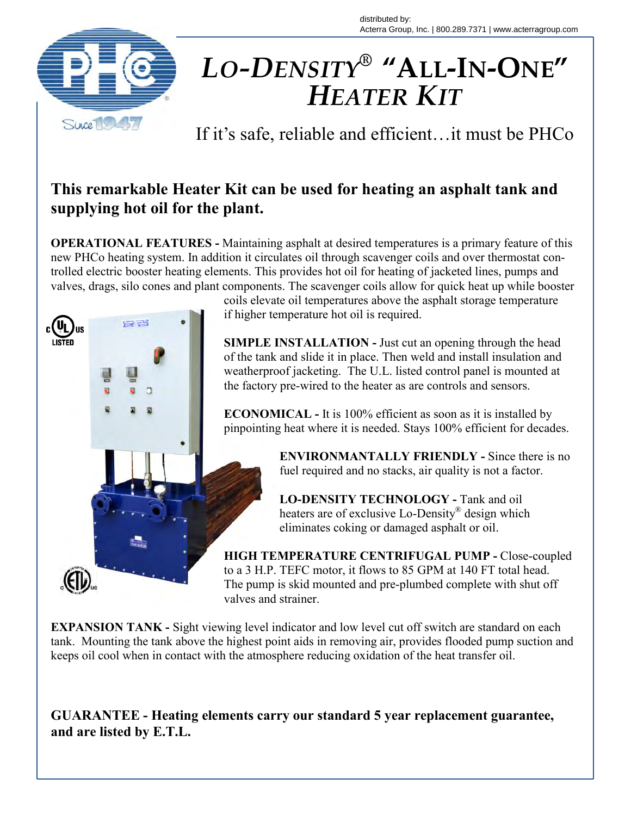distributed by: Acterra Group, Inc. | 800.289.7371 | www.acterragroup.com



## *HEATER KIT LO-DENSITY®* **"ALL-IN-ONE"**

If it's safe, reliable and efficient…it must be PHCo

## **This remarkable Heater Kit can be used for heating an asphalt tank and supplying hot oil for the plant.**

**OPERATIONAL FEATURES -** Maintaining asphalt at desired temperatures is a primary feature of this new PHCo heating system. In addition it circulates oil through scavenger coils and over thermostat controlled electric booster heating elements. This provides hot oil for heating of jacketed lines, pumps and valves, drags, silo cones and plant components. The scavenger coils allow for quick heat up while booster



coils elevate oil temperatures above the asphalt storage temperature

**SIMPLE INSTALLATION - Just cut an opening through the head**  of the tank and slide it in place. Then weld and install insulation and weatherproof jacketing. The U.L. listed control panel is mounted at the factory pre-wired to the heater as are controls and sensors.

 **ECONOMICAL -** It is 100% efficient as soon as it is installed by pinpointing heat where it is needed. Stays 100% efficient for decades.

> **ENVIRONMANTALLY FRIENDLY -** Since there is no fuel required and no stacks, air quality is not a factor.

 **LO-DENSITY TECHNOLOGY -** Tank and oil heaters are of exclusive Lo-Density® design which eliminates coking or damaged asphalt or oil.

**HIGH TEMPERATURE CENTRIFUGAL PUMP - Close-coupled** to a 3 H.P. TEFC motor, it flows to 85 GPM at 140 FT total head.<br>The pump is skid mounted and pre-plumbed complete with shut of The pump is skid mounted and pre-plumbed complete with shut off valves and strainer.

**EXPANSION TANK -** Sight viewing level indicator and low level cut off switch are standard on each tank. Mounting the tank above the highest point aids in removing air, provides flooded pump suction and keeps oil cool when in contact with the atmosphere reducing oxidation of the heat transfer oil.

**GUARANTEE - Heating elements carry our standard 5 year replacement guarantee, and are listed by E.T.L.**